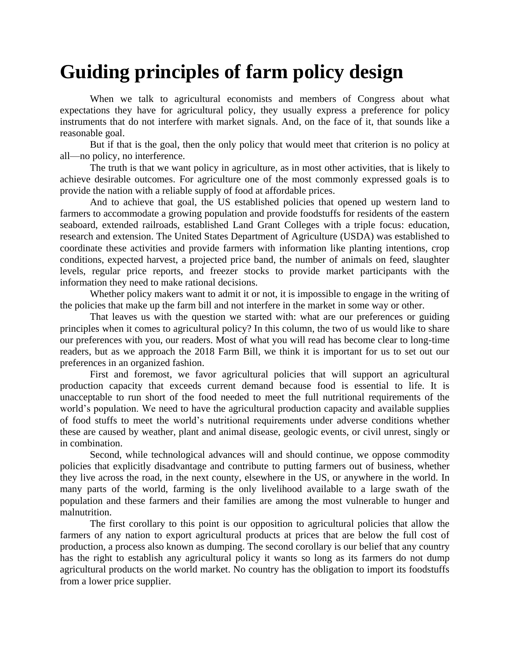## **Guiding principles of farm policy design**

When we talk to agricultural economists and members of Congress about what expectations they have for agricultural policy, they usually express a preference for policy instruments that do not interfere with market signals. And, on the face of it, that sounds like a reasonable goal.

But if that is the goal, then the only policy that would meet that criterion is no policy at all—no policy, no interference.

The truth is that we want policy in agriculture, as in most other activities, that is likely to achieve desirable outcomes. For agriculture one of the most commonly expressed goals is to provide the nation with a reliable supply of food at affordable prices.

And to achieve that goal, the US established policies that opened up western land to farmers to accommodate a growing population and provide foodstuffs for residents of the eastern seaboard, extended railroads, established Land Grant Colleges with a triple focus: education, research and extension. The United States Department of Agriculture (USDA) was established to coordinate these activities and provide farmers with information like planting intentions, crop conditions, expected harvest, a projected price band, the number of animals on feed, slaughter levels, regular price reports, and freezer stocks to provide market participants with the information they need to make rational decisions.

Whether policy makers want to admit it or not, it is impossible to engage in the writing of the policies that make up the farm bill and not interfere in the market in some way or other.

That leaves us with the question we started with: what are our preferences or guiding principles when it comes to agricultural policy? In this column, the two of us would like to share our preferences with you, our readers. Most of what you will read has become clear to long-time readers, but as we approach the 2018 Farm Bill, we think it is important for us to set out our preferences in an organized fashion.

First and foremost, we favor agricultural policies that will support an agricultural production capacity that exceeds current demand because food is essential to life. It is unacceptable to run short of the food needed to meet the full nutritional requirements of the world's population. We need to have the agricultural production capacity and available supplies of food stuffs to meet the world's nutritional requirements under adverse conditions whether these are caused by weather, plant and animal disease, geologic events, or civil unrest, singly or in combination.

Second, while technological advances will and should continue, we oppose commodity policies that explicitly disadvantage and contribute to putting farmers out of business, whether they live across the road, in the next county, elsewhere in the US, or anywhere in the world. In many parts of the world, farming is the only livelihood available to a large swath of the population and these farmers and their families are among the most vulnerable to hunger and malnutrition.

The first corollary to this point is our opposition to agricultural policies that allow the farmers of any nation to export agricultural products at prices that are below the full cost of production, a process also known as dumping. The second corollary is our belief that any country has the right to establish any agricultural policy it wants so long as its farmers do not dump agricultural products on the world market. No country has the obligation to import its foodstuffs from a lower price supplier.